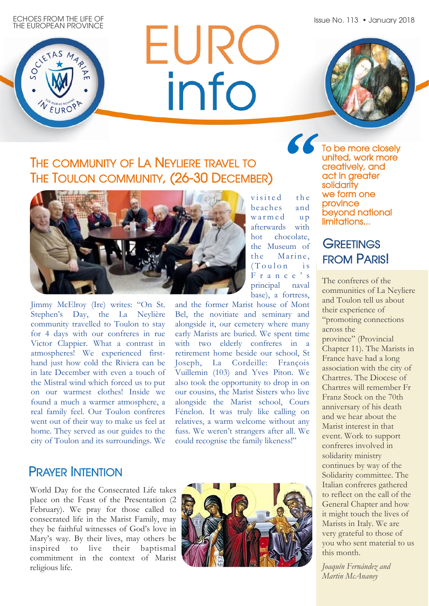Issue No. 113 • January 2018

ECHOES FROM THE LIFE OF THE EUROPEAN PROVINCE

V EURO

 $SO<sub>c</sub>$ 

# EURC info

## THE COMMUNITY OF LA NEYLIERE TRAVEL TO THE TOULON COMMUNITY, (26-30 DECEMBER)



Jimmy McElroy (Ire) writes: "On St. Stephen's Day, the La Neylière community travelled to Toulon to stay for 4 days with our confreres in rue Victor Clappier. What a contrast in atmospheres! We experienced firsthand just how cold the Riviera can be in late December with even a touch of the Mistral wind which forced us to put on our warmest clothes! Inside we found a much a warmer atmosphere, a real family feel. Our Toulon confreres went out of their way to make us feel at home. They served as our guides to the city of Toulon and its surroundings. We visited the beaches and warmed up afterwards with hot chocolate, the Museum of the Marine.  $(Toulon - is$ F r a n c e ' s principal naval base), a fortress,

and the former Marist house of Mont Bel, the novitiate and seminary and alongside it, our cemetery where many early Marists are buried. We spent time with two elderly confreres in a retirement home beside our school, St Joseph, La Cordeille: François Vuillemin (103) and Yves Piton. We also took the opportunity to drop in on our cousins, the Marist Sisters who live alongside the Marist school, Cours Fénelon. It was truly like calling on relatives, a warm welcome without any fuss. We weren't strangers after all. We could recognise the family likeness!"

## PRAYER INTENTION

World Day for the Consecrated Life takes place on the Feast of the Presentation (2 February). We pray for those called to consecrated life in the Marist Family, may they be faithful witnesses of God's love in Mary's way. By their lives, may others be inspired to live their baptismal commitment in the context of Marist religious life.



**"**To be more closely united, work more creatively, and act in greater solidarity we form one province beyond national limitations...

## **GREETINGS** FROM PARIS!

The confreres of the communities of La Neyliere and Toulon tell us about their experience of "promoting connections across the province" (Provincial Chapter 11). The Marists in France have had a long association with the city of Chartres. The Diocese of Chartres will remember Fr Franz Stock on the 70th anniversary of his death and we hear about the Marist interest in that event. Work to support confreres involved in solidarity ministry continues by way of the Solidarity committee. The Italian confreres gathered to reflect on the call of the General Chapter and how it might touch the lives of Marists in Italy. We are very grateful to those of you who sent material to us this month.

*Joaquín Fernández and Martin McAnaney*